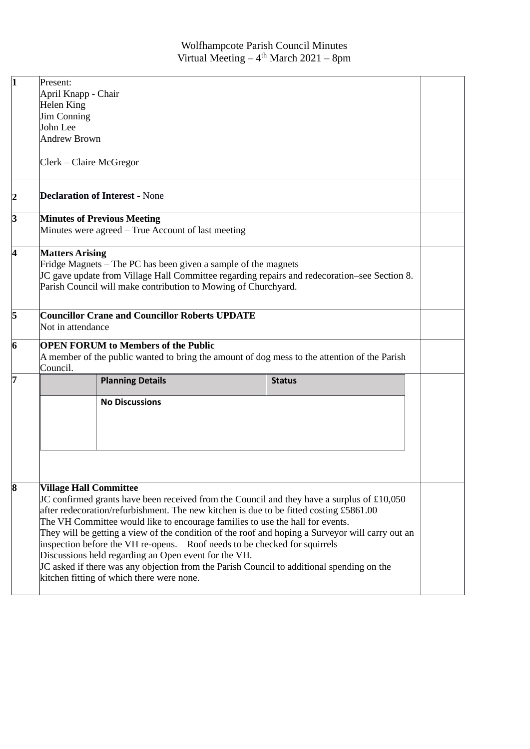| $\mathbf{1}$     | Present:                                                                                                                                                                                                                                                                                                                                                                                                                                                                                                                                                                                                                                                                                  |                         |  |               |  |  |
|------------------|-------------------------------------------------------------------------------------------------------------------------------------------------------------------------------------------------------------------------------------------------------------------------------------------------------------------------------------------------------------------------------------------------------------------------------------------------------------------------------------------------------------------------------------------------------------------------------------------------------------------------------------------------------------------------------------------|-------------------------|--|---------------|--|--|
|                  | April Knapp - Chair                                                                                                                                                                                                                                                                                                                                                                                                                                                                                                                                                                                                                                                                       |                         |  |               |  |  |
|                  | Helen King                                                                                                                                                                                                                                                                                                                                                                                                                                                                                                                                                                                                                                                                                |                         |  |               |  |  |
|                  | <b>Jim Conning</b>                                                                                                                                                                                                                                                                                                                                                                                                                                                                                                                                                                                                                                                                        |                         |  |               |  |  |
|                  | John Lee                                                                                                                                                                                                                                                                                                                                                                                                                                                                                                                                                                                                                                                                                  |                         |  |               |  |  |
|                  | <b>Andrew Brown</b>                                                                                                                                                                                                                                                                                                                                                                                                                                                                                                                                                                                                                                                                       |                         |  |               |  |  |
|                  | Clerk – Claire McGregor                                                                                                                                                                                                                                                                                                                                                                                                                                                                                                                                                                                                                                                                   |                         |  |               |  |  |
| $\boldsymbol{2}$ | <b>Declaration of Interest - None</b>                                                                                                                                                                                                                                                                                                                                                                                                                                                                                                                                                                                                                                                     |                         |  |               |  |  |
| 3                | <b>Minutes of Previous Meeting</b>                                                                                                                                                                                                                                                                                                                                                                                                                                                                                                                                                                                                                                                        |                         |  |               |  |  |
|                  | Minutes were agreed – True Account of last meeting                                                                                                                                                                                                                                                                                                                                                                                                                                                                                                                                                                                                                                        |                         |  |               |  |  |
| 4                | <b>Matters Arising</b><br>Fridge Magnets – The PC has been given a sample of the magnets<br>JC gave update from Village Hall Committee regarding repairs and redecoration–see Section 8.<br>Parish Council will make contribution to Mowing of Churchyard.                                                                                                                                                                                                                                                                                                                                                                                                                                |                         |  |               |  |  |
| 5                | <b>Councillor Crane and Councillor Roberts UPDATE</b><br>Not in attendance                                                                                                                                                                                                                                                                                                                                                                                                                                                                                                                                                                                                                |                         |  |               |  |  |
| 6                | <b>OPEN FORUM to Members of the Public</b><br>A member of the public wanted to bring the amount of dog mess to the attention of the Parish<br>Council.                                                                                                                                                                                                                                                                                                                                                                                                                                                                                                                                    |                         |  |               |  |  |
| 7                |                                                                                                                                                                                                                                                                                                                                                                                                                                                                                                                                                                                                                                                                                           | <b>Planning Details</b> |  | <b>Status</b> |  |  |
|                  |                                                                                                                                                                                                                                                                                                                                                                                                                                                                                                                                                                                                                                                                                           | <b>No Discussions</b>   |  |               |  |  |
| 8                | <b>Village Hall Committee</b><br>JC confirmed grants have been received from the Council and they have a surplus of £10,050<br>after redecoration/refurbishment. The new kitchen is due to be fitted costing £5861.00<br>The VH Committee would like to encourage families to use the hall for events.<br>They will be getting a view of the condition of the roof and hoping a Surveyor will carry out an<br>inspection before the VH re-opens. Roof needs to be checked for squirrels<br>Discussions held regarding an Open event for the VH.<br>JC asked if there was any objection from the Parish Council to additional spending on the<br>kitchen fitting of which there were none. |                         |  |               |  |  |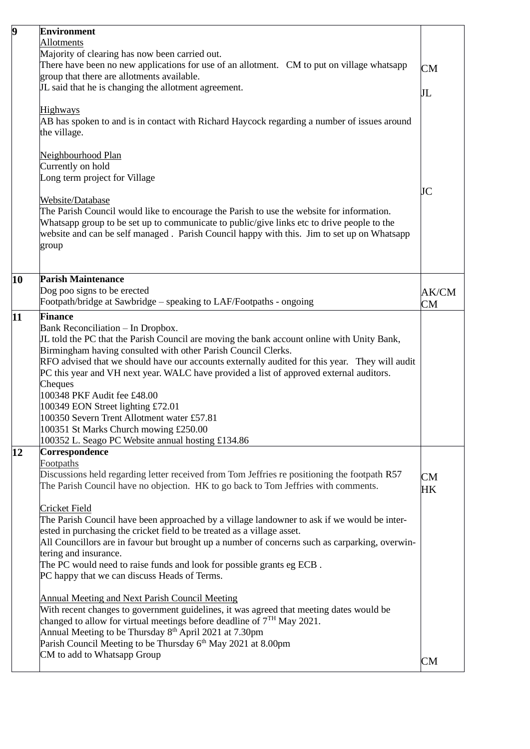| 9  | <b>Environment</b><br>Allotments                                                                                                                                                                                                                                                                                                                                                                                                                                                                                                                                                                                         |                 |  |  |
|----|--------------------------------------------------------------------------------------------------------------------------------------------------------------------------------------------------------------------------------------------------------------------------------------------------------------------------------------------------------------------------------------------------------------------------------------------------------------------------------------------------------------------------------------------------------------------------------------------------------------------------|-----------------|--|--|
|    | Majority of clearing has now been carried out.<br>There have been no new applications for use of an allotment. CM to put on village whatsapp<br><b>CM</b><br>group that there are allotments available.                                                                                                                                                                                                                                                                                                                                                                                                                  |                 |  |  |
|    | JL said that he is changing the allotment agreement.                                                                                                                                                                                                                                                                                                                                                                                                                                                                                                                                                                     | JL              |  |  |
|    | Highways<br>AB has spoken to and is in contact with Richard Haycock regarding a number of issues around<br>the village.                                                                                                                                                                                                                                                                                                                                                                                                                                                                                                  |                 |  |  |
|    | <u>Neighbourhood Plan</u>                                                                                                                                                                                                                                                                                                                                                                                                                                                                                                                                                                                                |                 |  |  |
|    | Currently on hold<br>Long term project for Village                                                                                                                                                                                                                                                                                                                                                                                                                                                                                                                                                                       |                 |  |  |
|    | Website/Database<br>The Parish Council would like to encourage the Parish to use the website for information.<br>Whatsapp group to be set up to communicate to public/give links etc to drive people to the<br>website and can be self managed. Parish Council happy with this. Jim to set up on Whatsapp<br>group                                                                                                                                                                                                                                                                                                       | JC              |  |  |
|    |                                                                                                                                                                                                                                                                                                                                                                                                                                                                                                                                                                                                                          |                 |  |  |
| 10 | <b>Parish Maintenance</b><br>Dog poo signs to be erected<br>Footpath/bridge at Sawbridge - speaking to LAF/Footpaths - ongoing                                                                                                                                                                                                                                                                                                                                                                                                                                                                                           | AK/CM           |  |  |
| 11 | <b>Finance</b>                                                                                                                                                                                                                                                                                                                                                                                                                                                                                                                                                                                                           | <b>CM</b>       |  |  |
|    | Bank Reconciliation - In Dropbox.<br>JL told the PC that the Parish Council are moving the bank account online with Unity Bank,<br>Birmingham having consulted with other Parish Council Clerks.<br>RFO advised that we should have our accounts externally audited for this year. They will audit<br>PC this year and VH next year. WALC have provided a list of approved external auditors.<br>Cheques<br>100348 PKF Audit fee £48.00<br>100349 EON Street lighting £72.01<br>100350 Severn Trent Allotment water £57.81<br>100351 St Marks Church mowing £250.00<br>100352 L. Seago PC Website annual hosting £134.86 |                 |  |  |
| 12 | Correspondence                                                                                                                                                                                                                                                                                                                                                                                                                                                                                                                                                                                                           |                 |  |  |
|    | <b>Footpaths</b><br>Discussions held regarding letter received from Tom Jeffries re positioning the footpath R57<br>The Parish Council have no objection. HK to go back to Tom Jeffries with comments.                                                                                                                                                                                                                                                                                                                                                                                                                   | <b>CM</b><br>HK |  |  |
|    | <b>Cricket Field</b><br>The Parish Council have been approached by a village landowner to ask if we would be inter-<br>ested in purchasing the cricket field to be treated as a village asset.<br>All Councillors are in favour but brought up a number of concerns such as carparking, overwin-<br>tering and insurance.<br>The PC would need to raise funds and look for possible grants eg ECB.<br>PC happy that we can discuss Heads of Terms.                                                                                                                                                                       |                 |  |  |
|    | <b>Annual Meeting and Next Parish Council Meeting</b><br>With recent changes to government guidelines, it was agreed that meeting dates would be<br>changed to allow for virtual meetings before deadline of $7TH$ May 2021.<br>Annual Meeting to be Thursday 8 <sup>th</sup> April 2021 at 7.30pm                                                                                                                                                                                                                                                                                                                       |                 |  |  |
|    | Parish Council Meeting to be Thursday 6 <sup>th</sup> May 2021 at 8.00pm<br>CM to add to Whatsapp Group                                                                                                                                                                                                                                                                                                                                                                                                                                                                                                                  | <b>CM</b>       |  |  |
|    |                                                                                                                                                                                                                                                                                                                                                                                                                                                                                                                                                                                                                          |                 |  |  |